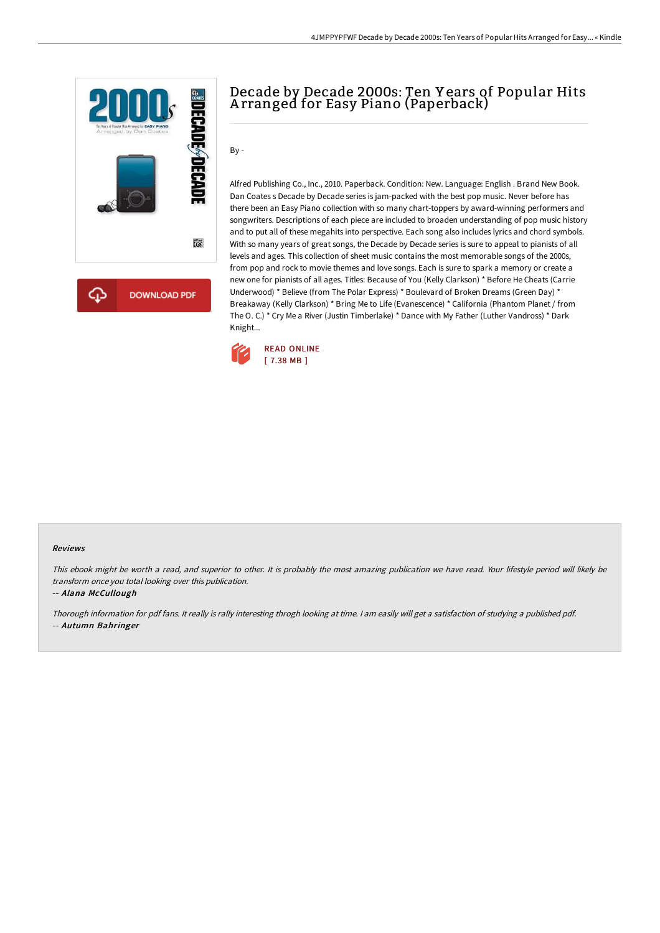

# Decade by Decade 2000s: Ten Y ears of Popular Hits A rranged for Easy Piano (Paperback)

By -

Alfred Publishing Co., Inc., 2010. Paperback. Condition: New. Language: English . Brand New Book. Dan Coates s Decade by Decade series is jam-packed with the best pop music. Never before has there been an Easy Piano collection with so many chart-toppers by award-winning performers and songwriters. Descriptions of each piece are included to broaden understanding of pop music history and to put all of these megahits into perspective. Each song also includes lyrics and chord symbols. With so many years of great songs, the Decade by Decade series is sure to appeal to pianists of all levels and ages. This collection of sheet music contains the most memorable songs of the 2000s, from pop and rock to movie themes and love songs. Each is sure to spark a memory or create a new one for pianists of all ages. Titles: Because of You (Kelly Clarkson) \* Before He Cheats (Carrie Underwood) \* Believe (from The Polar Express) \* Boulevard of Broken Dreams (Green Day) \* Breakaway (Kelly Clarkson) \* Bring Me to Life (Evanescence) \* California (Phantom Planet / from The O. C.) \* Cry Me a River (Justin Timberlake) \* Dance with My Father (Luther Vandross) \* Dark Knight...



#### Reviews

This ebook might be worth <sup>a</sup> read, and superior to other. It is probably the most amazing publication we have read. Your lifestyle period will likely be transform once you total looking over this publication.

-- Alana McCullough

Thorough information for pdf fans. It really is rally interesting throgh looking at time. <sup>I</sup> am easily will get <sup>a</sup> satisfaction of studying <sup>a</sup> published pdf. -- Autumn Bahringer